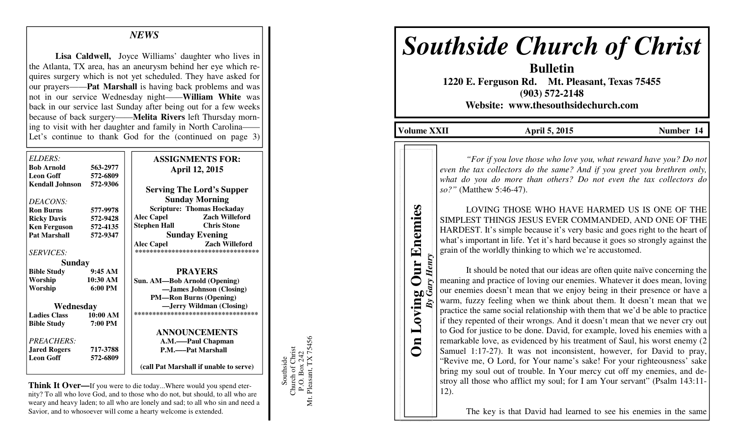### *NEWS*

**Lisa Caldwell,** Joyce Williams' daughter who lives in the Atlanta, TX area, has an aneurysm behind her eye which requires surgery which is not yet scheduled. They have asked for our prayers——**Pat Marshall** is having back problems and was not in our service Wednesday night——**William White** was back in our service last Sunday after being out for a few weeks because of back surgery——**Melita Rivers** left Thursday morning to visit with her daughter and family in North Carolina——Let's continue to thank God for the (continued on page 3)

| <i>ELDERS:</i>                            |                     | <b>ASSIGNMENTS FOR:</b>                    |
|-------------------------------------------|---------------------|--------------------------------------------|
| Bob Arnold                                | 563-2977            | <b>April 12, 2015</b>                      |
| Leon Goff                                 | 572-6809            |                                            |
| Kendall Johnson 572-9306                  |                     | <b>Serving The Lord's Supper</b>           |
| <i>DEACONS:</i>                           |                     | <b>Sunday Morning</b>                      |
| <b>Ron Burns</b>                          | 577-9978            | <b>Scripture: Thomas Hockaday</b>          |
| <b>Ricky Davis</b>                        | 572-9428            | <b>Alec Capel</b><br><b>Zach Willeford</b> |
| Ken Ferguson                              | 572-4135            | <b>Chris Stone</b><br>Stephen Hall         |
| <b>Pat Marshall</b>                       | 572-9347            | <b>Sunday Evening</b>                      |
|                                           |                     | <b>Alec Capel</b><br><b>Zach Willeford</b> |
| <i>SERVICES:</i>                          |                     | **********************************         |
| Sunday                                    |                     |                                            |
| <b>Bible Study</b>                        | 9:45 AM             | <b>PRAYERS</b>                             |
| Worship                                   | 10:30 AM            | Sun. AM—Bob Arnold (Opening)               |
| Worship                                   | $6:00$ PM           | -James Johnson (Closing)                   |
|                                           |                     | <b>PM-Ron Burns (Opening)</b>              |
| Wednesday                                 |                     | -Jerry Wildman (Closing)                   |
| <b>Ladies Class</b><br><b>Bible Study</b> | 10:00 AM<br>7:00 PM | ***********************************        |
|                                           |                     | <b>ANNOUNCEMENTS</b>                       |
| PREACHERS:                                |                     | A.M.-Paul Chapman                          |
| <b>Jared Rogers</b>                       | 717-3788            | P.M.——Pat Marshall                         |
| Leon Goff                                 | 572-6809            |                                            |
|                                           |                     | (call Pat Marshall if unable to serve)     |

**Think It Over—**If you were to die today...Where would you spend eternity? To all who love God, and to those who do not, but should, to all who are weary and heavy laden; to all who are lonely and sad; to all who sin and need a Savior, and to whosoever will come a hearty welcome is extended.

Southside<br>Church of Christ<br>P.O. Box 242<br>Mt. Pleasant, TX 75456 Mt. Pleasant, TX 75456 Church of Christ P.O. Box 242

Southside

# *Southside Church of Christ*

**Bulletin 1220 E. Ferguson Rd. Mt. Pleasant, Texas 75455 (903) 572-2148 Website: www.thesouthsidechurch.com** 

**Volume XXII April 5, 2015 Number 14 Number 14** 

**On Loving Our Enemies**  *By Gary Henry* 

**Our Enemies** 

 *"For if you love those who love you, what reward have you? Do not even the tax collectors do the same? And if you greet you brethren only, what do you do more than others? Do not even the tax collectors do so?"* (Matthew 5:46-47).

 LOVING THOSE WHO HAVE HARMED US IS ONE OF THE SIMPLEST THINGS JESUS EVER COMMANDED, AND ONE OF THE HARDEST. It's simple because it's very basic and goes right to the heart of grain of the worldly thinking to which we're accustomed.

what's important in life. Yet it's hard because it goes so strongly against the<br>grain of the worldly thinking to which we're accustomed.<br>It should be noted that our ideas are often quite naïve concerning the<br>meaning and pr It should be noted that our ideas are often quite naïve concerning the meaning and practice of loving our enemies. Whatever it does mean, loving our enemies doesn't mean that we enjoy being in their presence or have a warm, fuzzy feeling when we think about them. It doesn't mean that we practice the same social relationship with them that we'd be able to practice if they repented of their wrongs. And it doesn't mean that we never cry out to God for justice to be done. David, for example, loved his enemies with a remarkable love, as evidenced by his treatment of Saul, his worst enemy (2 Samuel 1:17-27). It was not inconsistent, however, for David to pray, "Revive me, O Lord, for Your name's sake! For your righteousness' sake bring my soul out of trouble. In Your mercy cut off my enemies, and destroy all those who afflict my soul; for I am Your servant" (Psalm 143:11-12).

The key is that David had learned to see his enemies in the same